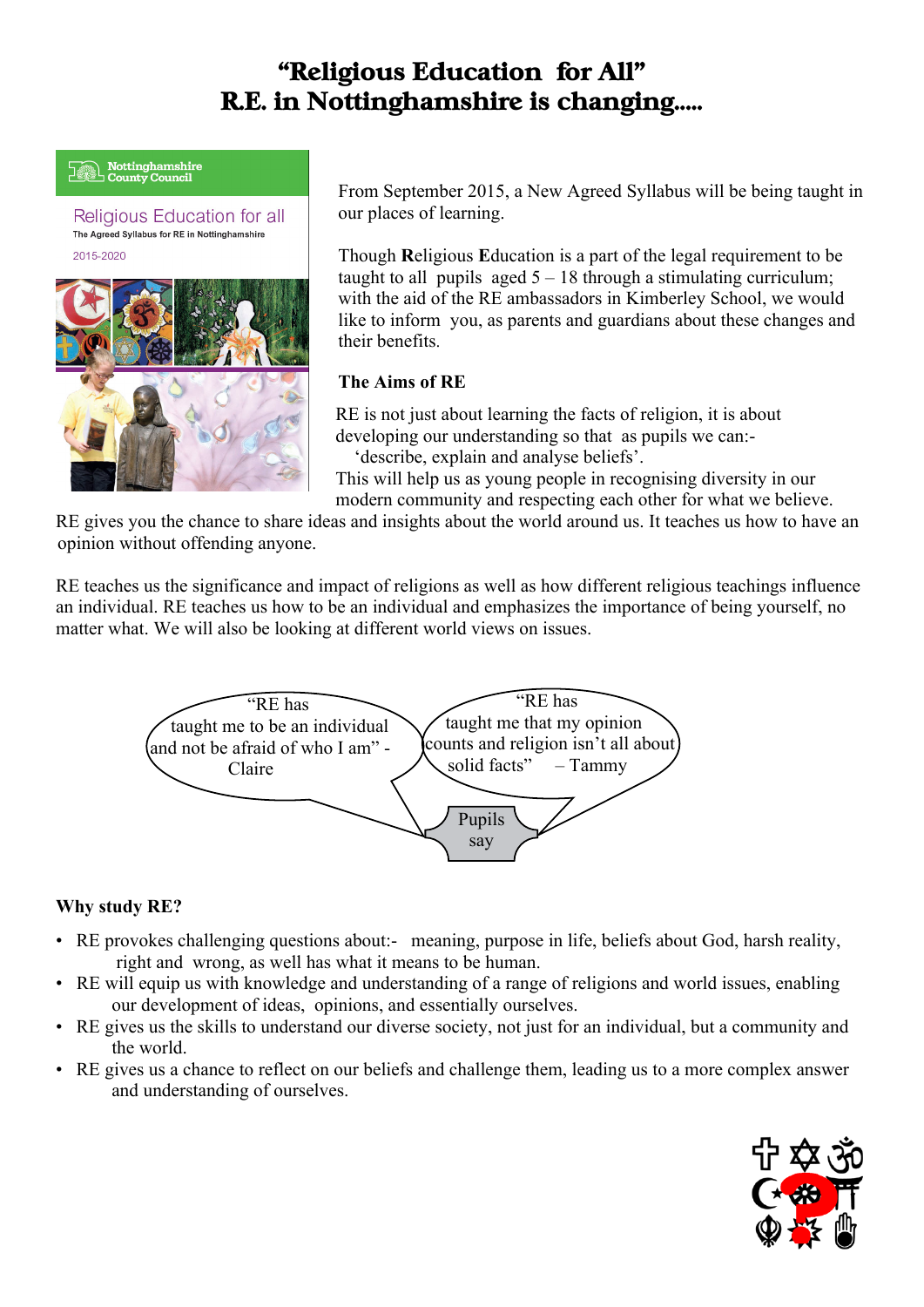# **"Religious Education for All" R.E. in Nottinghamshire is changing.....**

# **Wottinghamshire**<br>County Council

**Religious Education for all** The Agreed Syllabus for RE in Nottinghamshire 2015-2020



From September 2015, a New Agreed Syllabus will be being taught in our places of learning.

Though **R**eligious **E**ducation is a part of the legal requirement to be taught to all pupils aged  $5 - 18$  through a stimulating curriculum; with the aid of the RE ambassadors in Kimberley School, we would like to inform you, as parents and guardians about these changes and their benefits.

## **The Aims of RE**

RE is not just about learning the facts of religion, it is about developing our understanding so that as pupils we can:- 'describe, explain and analyse beliefs'.

This will help us as young people in recognising diversity in our modern community and respecting each other for what we believe.

RE gives you the chance to share ideas and insights about the world around us. It teaches us how to have an opinion without offending anyone.

RE teaches us the significance and impact of religions as well as how different religious teachings influence an individual. RE teaches us how to be an individual and emphasizes the importance of being yourself, no matter what. We will also be looking at different world views on issues.



## **Why study RE?**

- RE provokes challenging questions about: meaning, purpose in life, beliefs about God, harsh reality, right and wrong, as well has what it means to be human.
- RE will equip us with knowledge and understanding of a range of religions and world issues, enabling our development of ideas, opinions, and essentially ourselves.
- RE gives us the skills to understand our diverse society, not just for an individual, but a community and the world.
- RE gives us a chance to reflect on our beliefs and challenge them, leading us to a more complex answer and understanding of ourselves.